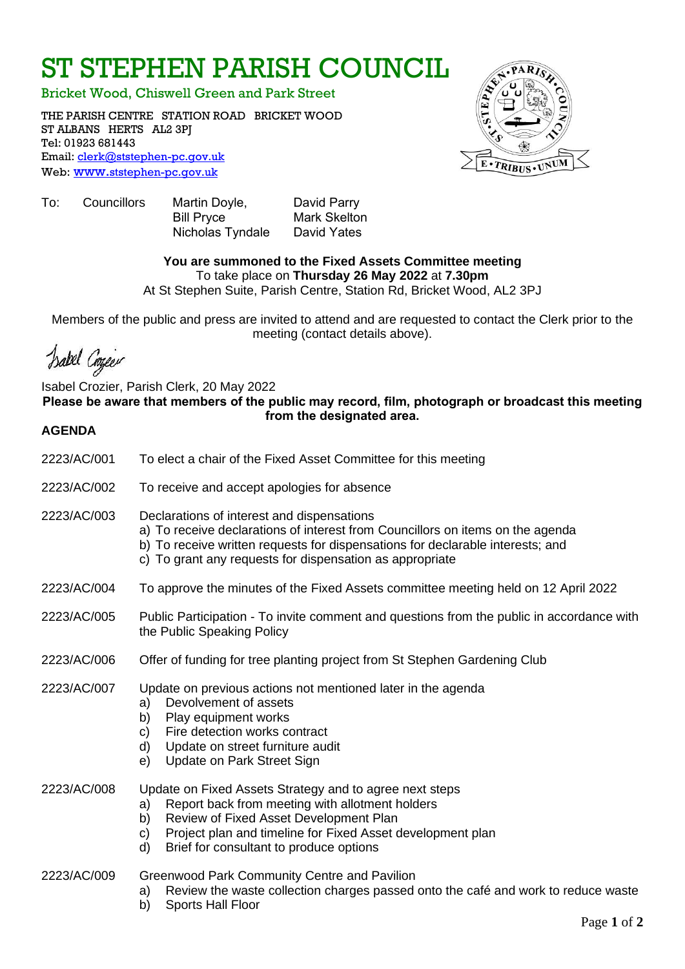# ST STEPHEN PARISH COUNCIL

Bricket Wood, Chiswell Green and Park Street

THE PARISH CENTRE STATION ROAD BRICKET WOOD ST ALBANS HERTS AL2 3PJ Tel: 01923 681443 Email: [clerk@ststephen-pc.gov.uk](mailto:clerk@ststephen-pc.gov.uk)  Web: www.[ststephen-pc.gov.uk](http://www.ststephen-pc.gov.uk/)



To: Councillors Martin Doyle, David Parry Bill Pryce Mark Skelton Nicholas Tyndale David Yates

# **You are summoned to the Fixed Assets Committee meeting**

To take place on **Thursday 26 May 2022** at **7.30pm**

At St Stephen Suite, Parish Centre, Station Rd, Bricket Wood, AL2 3PJ

Members of the public and press are invited to attend and are requested to contact the Clerk prior to the meeting (contact details above).

Isabel Coyeer

Isabel Crozier, Parish Clerk, 20 May 2022 **Please be aware that members of the public may record, film, photograph or broadcast this meeting from the designated area.**

# **AGENDA**

| 2223/AC/001 | To elect a chair of the Fixed Asset Committee for this meeting                                                                                                                                                                                                                        |  |  |
|-------------|---------------------------------------------------------------------------------------------------------------------------------------------------------------------------------------------------------------------------------------------------------------------------------------|--|--|
| 2223/AC/002 | To receive and accept apologies for absence                                                                                                                                                                                                                                           |  |  |
| 2223/AC/003 | Declarations of interest and dispensations<br>a) To receive declarations of interest from Councillors on items on the agenda<br>b) To receive written requests for dispensations for declarable interests; and<br>c) To grant any requests for dispensation as appropriate            |  |  |
| 2223/AC/004 | To approve the minutes of the Fixed Assets committee meeting held on 12 April 2022                                                                                                                                                                                                    |  |  |
| 2223/AC/005 | Public Participation - To invite comment and questions from the public in accordance with<br>the Public Speaking Policy                                                                                                                                                               |  |  |
| 2223/AC/006 | Offer of funding for tree planting project from St Stephen Gardening Club                                                                                                                                                                                                             |  |  |
| 2223/AC/007 | Update on previous actions not mentioned later in the agenda<br>Devolvement of assets<br>a)<br>Play equipment works<br>b)<br>Fire detection works contract<br>C)<br>Update on street furniture audit<br>d)<br>Update on Park Street Sign<br>e)                                        |  |  |
| 2223/AC/008 | Update on Fixed Assets Strategy and to agree next steps<br>Report back from meeting with allotment holders<br>a)<br>Review of Fixed Asset Development Plan<br>b)<br>Project plan and timeline for Fixed Asset development plan<br>C)<br>Brief for consultant to produce options<br>d) |  |  |
| 2223/AC/009 | Greenwood Park Community Centre and Pavilion<br>Review the waste collection charges passed onto the café and work to reduce waste<br>a)<br><b>Sports Hall Floor</b><br>b)                                                                                                             |  |  |

Page **1** of **2**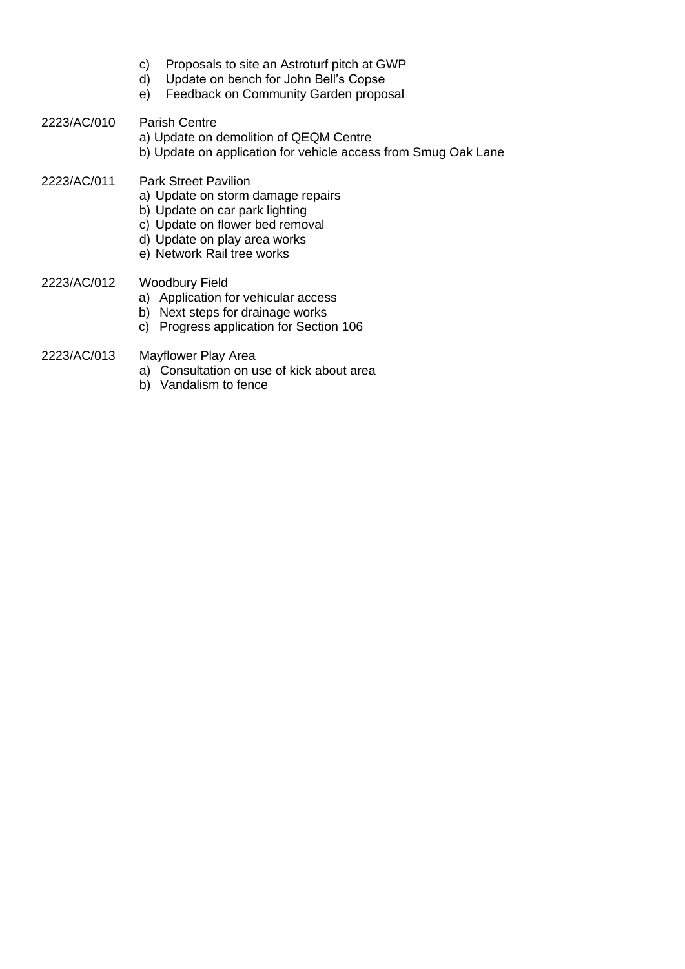- c) Proposals to site an Astroturf pitch at GWP
- d) Update on bench for John Bell's Copse
- e) Feedback on Community Garden proposal
- 2223/AC/010 Parish Centre
	- a) Update on demolition of QEQM Centre
	- b) Update on application for vehicle access from Smug Oak Lane
- 2223/AC/011 Park Street Pavilion
	- a) Update on storm damage repairs
	- b) Update on car park lighting
	- c) Update on flower bed removal
	- d) Update on play area works
	- e) Network Rail tree works
- 2223/AC/012 Woodbury Field
	- a) Application for vehicular access
	- b) Next steps for drainage works
	- c) Progress application for Section 106
- 2223/AC/013 Mayflower Play Area
	- a) Consultation on use of kick about area
	- b) Vandalism to fence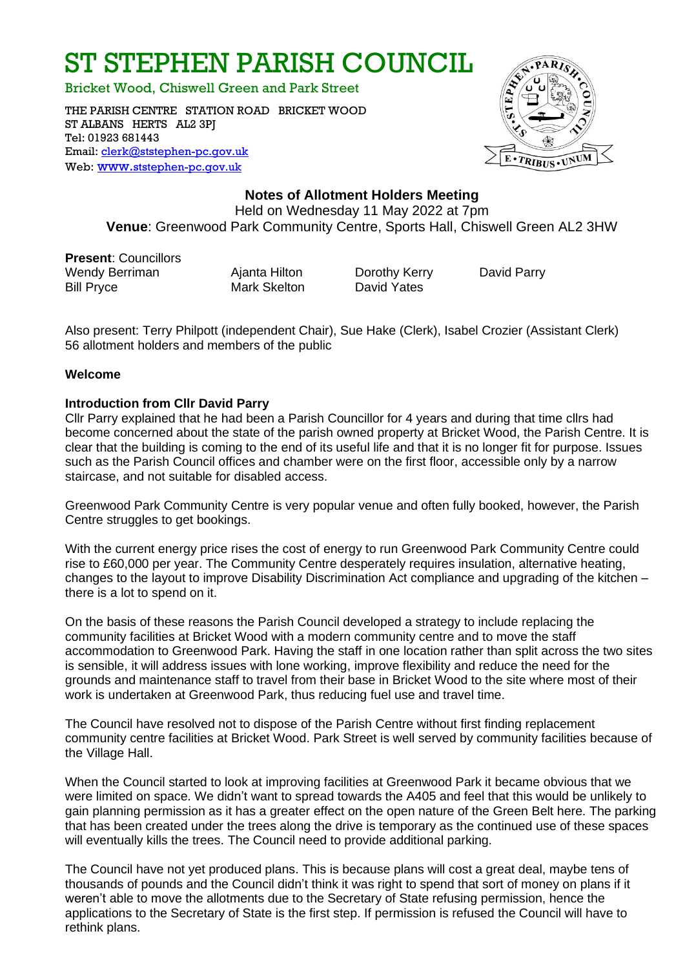# ST STEPHEN PARISH COUNCIL

Bricket Wood, Chiswell Green and Park Street

THE PARISH CENTRE STATION ROAD BRICKET WOOD ST ALBANS HERTS AL2 3PJ Tel: 01923 681443 Email: [clerk@ststephen-pc.gov.uk](mailto:clerk@ststephen-pc.gov.uk)  Web: www.[ststephen-pc.gov.uk](http://www.ststephen-pc.gov.uk/)



# **Notes of Allotment Holders Meeting**

Held on Wednesday 11 May 2022 at 7pm **Venue**: Greenwood Park Community Centre, Sports Hall, Chiswell Green AL2 3HW

**Present**: Councillors Wendy Berriman **Ajanta Hilton** Dorothy Kerry David Parry Bill Pryce Mark Skelton David Yates

 Also present: Terry Philpott (independent Chair), Sue Hake (Clerk), Isabel Crozier (Assistant Clerk) 56 allotment holders and members of the public

#### **Welcome**

# **Introduction from Cllr David Parry**

Cllr Parry explained that he had been a Parish Councillor for 4 years and during that time cllrs had become concerned about the state of the parish owned property at Bricket Wood, the Parish Centre. It is clear that the building is coming to the end of its useful life and that it is no longer fit for purpose. Issues such as the Parish Council offices and chamber were on the first floor, accessible only by a narrow staircase, and not suitable for disabled access.

Greenwood Park Community Centre is very popular venue and often fully booked, however, the Parish Centre struggles to get bookings.

With the current energy price rises the cost of energy to run Greenwood Park Community Centre could rise to £60,000 per year. The Community Centre desperately requires insulation, alternative heating, changes to the layout to improve Disability Discrimination Act compliance and upgrading of the kitchen – there is a lot to spend on it.

On the basis of these reasons the Parish Council developed a strategy to include replacing the community facilities at Bricket Wood with a modern community centre and to move the staff accommodation to Greenwood Park. Having the staff in one location rather than split across the two sites is sensible, it will address issues with lone working, improve flexibility and reduce the need for the grounds and maintenance staff to travel from their base in Bricket Wood to the site where most of their work is undertaken at Greenwood Park, thus reducing fuel use and travel time.

The Council have resolved not to dispose of the Parish Centre without first finding replacement community centre facilities at Bricket Wood. Park Street is well served by community facilities because of the Village Hall.

When the Council started to look at improving facilities at Greenwood Park it became obvious that we were limited on space. We didn't want to spread towards the A405 and feel that this would be unlikely to gain planning permission as it has a greater effect on the open nature of the Green Belt here. The parking that has been created under the trees along the drive is temporary as the continued use of these spaces will eventually kills the trees. The Council need to provide additional parking.

The Council have not yet produced plans. This is because plans will cost a great deal, maybe tens of thousands of pounds and the Council didn't think it was right to spend that sort of money on plans if it weren't able to move the allotments due to the Secretary of State refusing permission, hence the applications to the Secretary of State is the first step. If permission is refused the Council will have to rethink plans.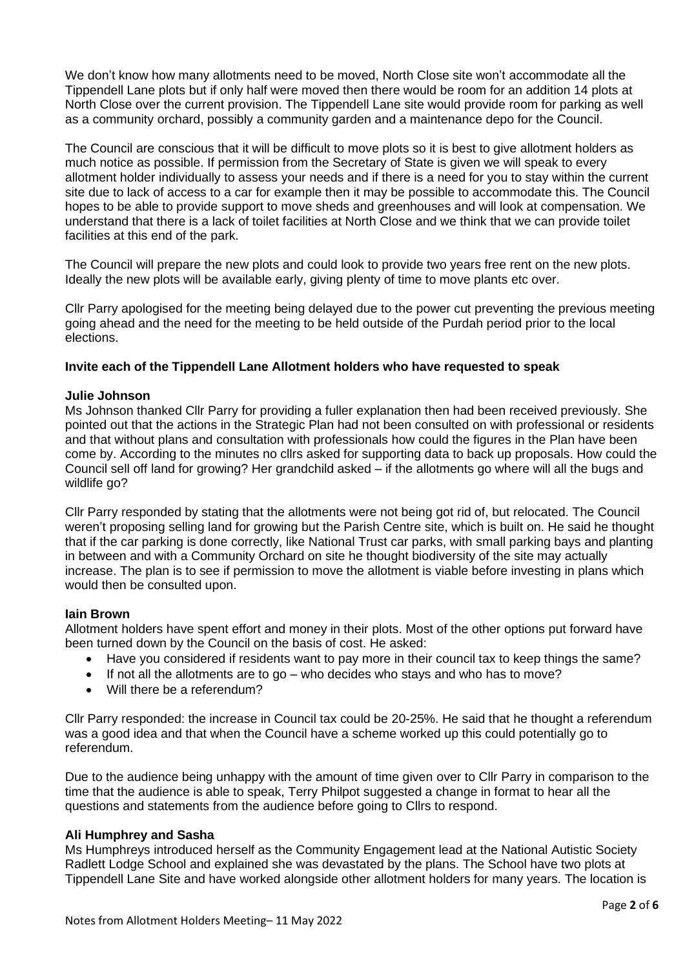We don't know how many allotments need to be moved, North Close site won't accommodate all the Tippendell Lane plots but if only half were moved then there would be room for an addition 14 plots at North Close over the current provision. The Tippendell Lane site would provide room for parking as well as a community orchard, possibly a community garden and a maintenance depo for the Council.

The Council are conscious that it will be difficult to move plots so it is best to give allotment holders as much notice as possible. If permission from the Secretary of State is given we will speak to every allotment holder individually to assess your needs and if there is a need for you to stay within the current site due to lack of access to a car for example then it may be possible to accommodate this. The Council hopes to be able to provide support to move sheds and greenhouses and will look at compensation. We understand that there is a lack of toilet facilities at North Close and we think that we can provide toilet facilities at this end of the park.

The Council will prepare the new plots and could look to provide two years free rent on the new plots. Ideally the new plots will be available early, giving plenty of time to move plants etc over.

Cllr Parry apologised for the meeting being delayed due to the power cut preventing the previous meeting going ahead and the need for the meeting to be held outside of the Purdah period prior to the local elections.

#### **Invite each of the Tippendell Lane Allotment holders who have requested to speak**

#### **Julie Johnson**

Ms Johnson thanked Cllr Parry for providing a fuller explanation then had been received previously. She pointed out that the actions in the Strategic Plan had not been consulted on with professional or residents and that without plans and consultation with professionals how could the figures in the Plan have been come by. According to the minutes no cllrs asked for supporting data to back up proposals. How could the Council sell off land for growing? Her grandchild asked – if the allotments go where will all the bugs and wildlife go?

Cllr Parry responded by stating that the allotments were not being got rid of, but relocated. The Council weren't proposing selling land for growing but the Parish Centre site, which is built on. He said he thought that if the car parking is done correctly, like National Trust car parks, with small parking bays and planting in between and with a Community Orchard on site he thought biodiversity of the site may actually increase. The plan is to see if permission to move the allotment is viable before investing in plans which would then be consulted upon.

#### **Iain Brown**

Allotment holders have spent effort and money in their plots. Most of the other options put forward have been turned down by the Council on the basis of cost. He asked:

- Have you considered if residents want to pay more in their council tax to keep things the same?
- If not all the allotments are to go who decides who stays and who has to move?
- Will there be a referendum?

Cllr Parry responded: the increase in Council tax could be 20-25%. He said that he thought a referendum was a good idea and that when the Council have a scheme worked up this could potentially go to referendum.

Due to the audience being unhappy with the amount of time given over to Cllr Parry in comparison to the time that the audience is able to speak, Terry Philpot suggested a change in format to hear all the questions and statements from the audience before going to Cllrs to respond.

#### **Ali Humphrey and Sasha**

Ms Humphreys introduced herself as the Community Engagement lead at the National Autistic Society Radlett Lodge School and explained she was devastated by the plans. The School have two plots at Tippendell Lane Site and have worked alongside other allotment holders for many years. The location is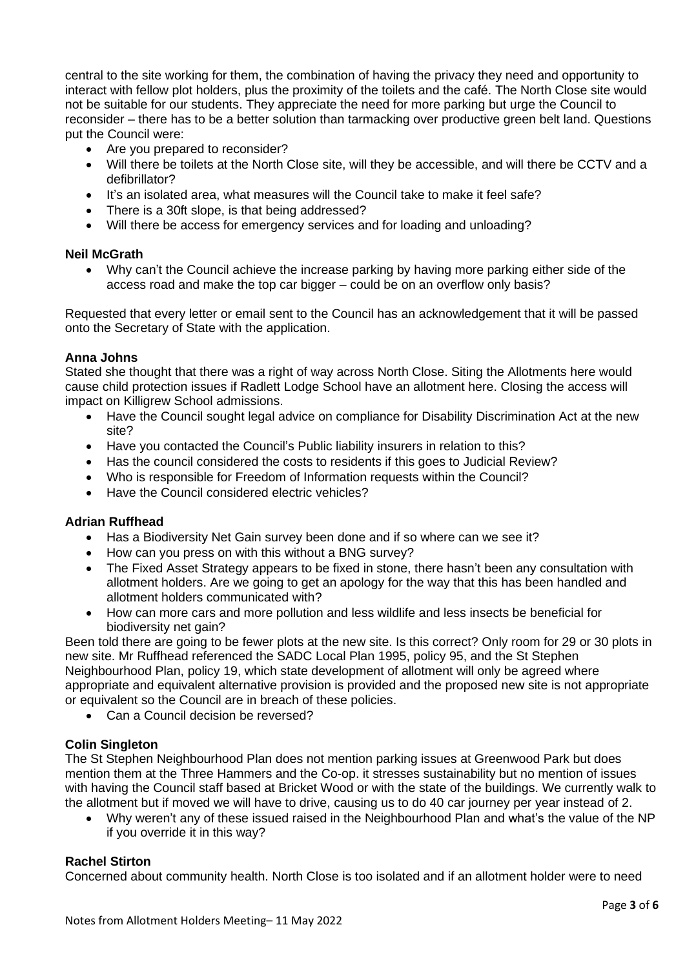central to the site working for them, the combination of having the privacy they need and opportunity to interact with fellow plot holders, plus the proximity of the toilets and the café. The North Close site would not be suitable for our students. They appreciate the need for more parking but urge the Council to reconsider – there has to be a better solution than tarmacking over productive green belt land. Questions put the Council were:

- Are you prepared to reconsider?
- Will there be toilets at the North Close site, will they be accessible, and will there be CCTV and a defibrillator?
- It's an isolated area, what measures will the Council take to make it feel safe?
- There is a 30ft slope, is that being addressed?
- Will there be access for emergency services and for loading and unloading?

#### **Neil McGrath**

• Why can't the Council achieve the increase parking by having more parking either side of the access road and make the top car bigger – could be on an overflow only basis?

Requested that every letter or email sent to the Council has an acknowledgement that it will be passed onto the Secretary of State with the application.

#### **Anna Johns**

Stated she thought that there was a right of way across North Close. Siting the Allotments here would cause child protection issues if Radlett Lodge School have an allotment here. Closing the access will impact on Killigrew School admissions.

- Have the Council sought legal advice on compliance for Disability Discrimination Act at the new site?
- Have you contacted the Council's Public liability insurers in relation to this?
- Has the council considered the costs to residents if this goes to Judicial Review?
- Who is responsible for Freedom of Information requests within the Council?
- Have the Council considered electric vehicles?

#### **Adrian Ruffhead**

- Has a Biodiversity Net Gain survey been done and if so where can we see it?
- How can you press on with this without a BNG survey?
- The Fixed Asset Strategy appears to be fixed in stone, there hasn't been any consultation with allotment holders. Are we going to get an apology for the way that this has been handled and allotment holders communicated with?
- How can more cars and more pollution and less wildlife and less insects be beneficial for biodiversity net gain?

Been told there are going to be fewer plots at the new site. Is this correct? Only room for 29 or 30 plots in new site. Mr Ruffhead referenced the SADC Local Plan 1995, policy 95, and the St Stephen Neighbourhood Plan, policy 19, which state development of allotment will only be agreed where appropriate and equivalent alternative provision is provided and the proposed new site is not appropriate or equivalent so the Council are in breach of these policies.

• Can a Council decision be reversed?

# **Colin Singleton**

The St Stephen Neighbourhood Plan does not mention parking issues at Greenwood Park but does mention them at the Three Hammers and the Co-op. it stresses sustainability but no mention of issues with having the Council staff based at Bricket Wood or with the state of the buildings. We currently walk to the allotment but if moved we will have to drive, causing us to do 40 car journey per year instead of 2.

• Why weren't any of these issued raised in the Neighbourhood Plan and what's the value of the NP if you override it in this way?

#### **Rachel Stirton**

Concerned about community health. North Close is too isolated and if an allotment holder were to need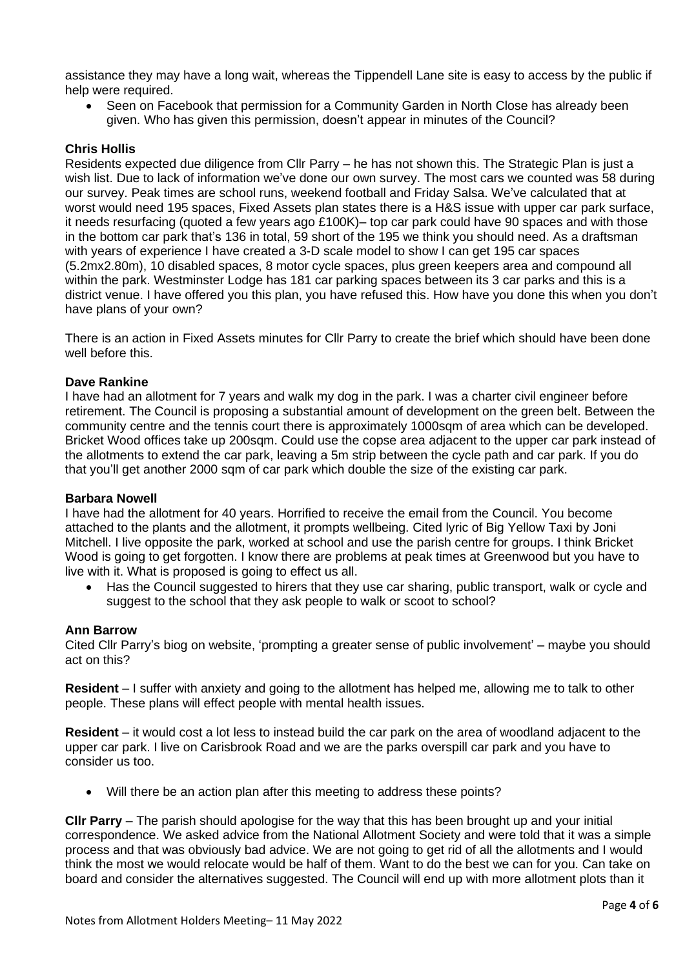assistance they may have a long wait, whereas the Tippendell Lane site is easy to access by the public if help were required.

• Seen on Facebook that permission for a Community Garden in North Close has already been given. Who has given this permission, doesn't appear in minutes of the Council?

# **Chris Hollis**

Residents expected due diligence from Cllr Parry – he has not shown this. The Strategic Plan is just a wish list. Due to lack of information we've done our own survey. The most cars we counted was 58 during our survey. Peak times are school runs, weekend football and Friday Salsa. We've calculated that at worst would need 195 spaces, Fixed Assets plan states there is a H&S issue with upper car park surface, it needs resurfacing (quoted a few years ago £100K)– top car park could have 90 spaces and with those in the bottom car park that's 136 in total, 59 short of the 195 we think you should need. As a draftsman with years of experience I have created a 3-D scale model to show I can get 195 car spaces (5.2mx2.80m), 10 disabled spaces, 8 motor cycle spaces, plus green keepers area and compound all within the park. Westminster Lodge has 181 car parking spaces between its 3 car parks and this is a district venue. I have offered you this plan, you have refused this. How have you done this when you don't have plans of your own?

There is an action in Fixed Assets minutes for Cllr Parry to create the brief which should have been done well before this.

# **Dave Rankine**

I have had an allotment for 7 years and walk my dog in the park. I was a charter civil engineer before retirement. The Council is proposing a substantial amount of development on the green belt. Between the community centre and the tennis court there is approximately 1000sqm of area which can be developed. Bricket Wood offices take up 200sqm. Could use the copse area adjacent to the upper car park instead of the allotments to extend the car park, leaving a 5m strip between the cycle path and car park. If you do that you'll get another 2000 sqm of car park which double the size of the existing car park.

#### **Barbara Nowell**

I have had the allotment for 40 years. Horrified to receive the email from the Council. You become attached to the plants and the allotment, it prompts wellbeing. Cited lyric of Big Yellow Taxi by Joni Mitchell. I live opposite the park, worked at school and use the parish centre for groups. I think Bricket Wood is going to get forgotten. I know there are problems at peak times at Greenwood but you have to live with it. What is proposed is going to effect us all.

• Has the Council suggested to hirers that they use car sharing, public transport, walk or cycle and suggest to the school that they ask people to walk or scoot to school?

#### **Ann Barrow**

Cited Cllr Parry's biog on website, 'prompting a greater sense of public involvement' – maybe you should act on this?

**Resident** – I suffer with anxiety and going to the allotment has helped me, allowing me to talk to other people. These plans will effect people with mental health issues.

**Resident** – it would cost a lot less to instead build the car park on the area of woodland adjacent to the upper car park. I live on Carisbrook Road and we are the parks overspill car park and you have to consider us too.

• Will there be an action plan after this meeting to address these points?

**Cllr Parry** – The parish should apologise for the way that this has been brought up and your initial correspondence. We asked advice from the National Allotment Society and were told that it was a simple process and that was obviously bad advice. We are not going to get rid of all the allotments and I would think the most we would relocate would be half of them. Want to do the best we can for you. Can take on board and consider the alternatives suggested. The Council will end up with more allotment plots than it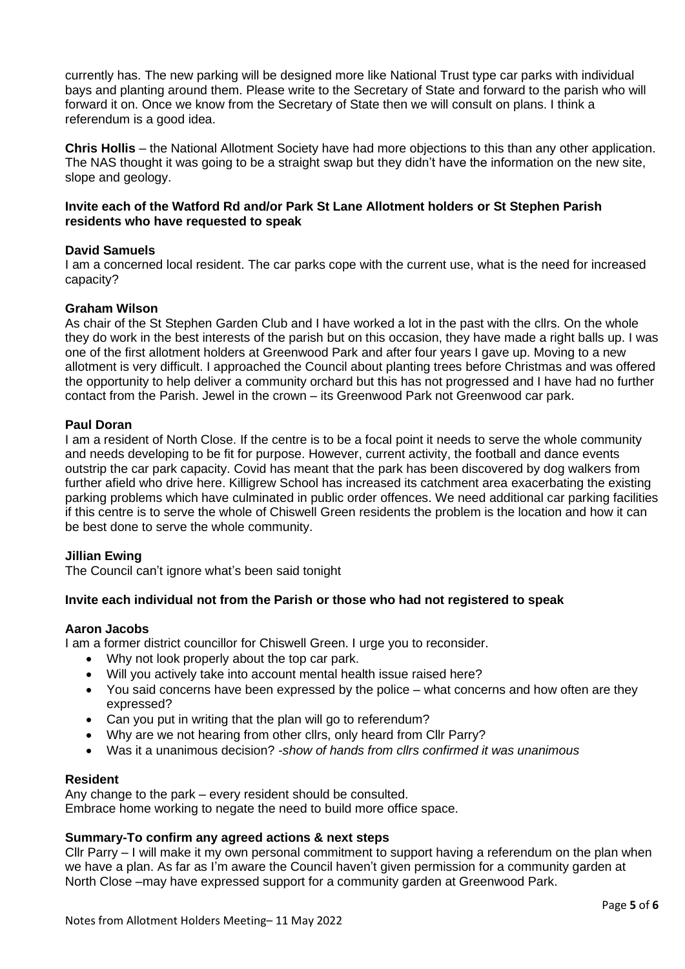currently has. The new parking will be designed more like National Trust type car parks with individual bays and planting around them. Please write to the Secretary of State and forward to the parish who will forward it on. Once we know from the Secretary of State then we will consult on plans. I think a referendum is a good idea.

**Chris Hollis** – the National Allotment Society have had more objections to this than any other application. The NAS thought it was going to be a straight swap but they didn't have the information on the new site, slope and geology.

#### **Invite each of the Watford Rd and/or Park St Lane Allotment holders or St Stephen Parish residents who have requested to speak**

# **David Samuels**

I am a concerned local resident. The car parks cope with the current use, what is the need for increased capacity?

#### **Graham Wilson**

As chair of the St Stephen Garden Club and I have worked a lot in the past with the cllrs. On the whole they do work in the best interests of the parish but on this occasion, they have made a right balls up. I was one of the first allotment holders at Greenwood Park and after four years I gave up. Moving to a new allotment is very difficult. I approached the Council about planting trees before Christmas and was offered the opportunity to help deliver a community orchard but this has not progressed and I have had no further contact from the Parish. Jewel in the crown – its Greenwood Park not Greenwood car park.

#### **Paul Doran**

I am a resident of North Close. If the centre is to be a focal point it needs to serve the whole community and needs developing to be fit for purpose. However, current activity, the football and dance events outstrip the car park capacity. Covid has meant that the park has been discovered by dog walkers from further afield who drive here. Killigrew School has increased its catchment area exacerbating the existing parking problems which have culminated in public order offences. We need additional car parking facilities if this centre is to serve the whole of Chiswell Green residents the problem is the location and how it can be best done to serve the whole community.

#### **Jillian Ewing**

The Council can't ignore what's been said tonight

# **Invite each individual not from the Parish or those who had not registered to speak**

#### **Aaron Jacobs**

I am a former district councillor for Chiswell Green. I urge you to reconsider.

- Why not look properly about the top car park.
- Will you actively take into account mental health issue raised here?
- You said concerns have been expressed by the police what concerns and how often are they expressed?
- Can you put in writing that the plan will go to referendum?
- Why are we not hearing from other cllrs, only heard from Cllr Parry?
- Was it a unanimous decision? *-show of hands from cllrs confirmed it was unanimous*

#### **Resident**

Any change to the park – every resident should be consulted. Embrace home working to negate the need to build more office space.

#### **Summary-To confirm any agreed actions & next steps**

Cllr Parry – I will make it my own personal commitment to support having a referendum on the plan when we have a plan. As far as I'm aware the Council haven't given permission for a community garden at North Close –may have expressed support for a community garden at Greenwood Park.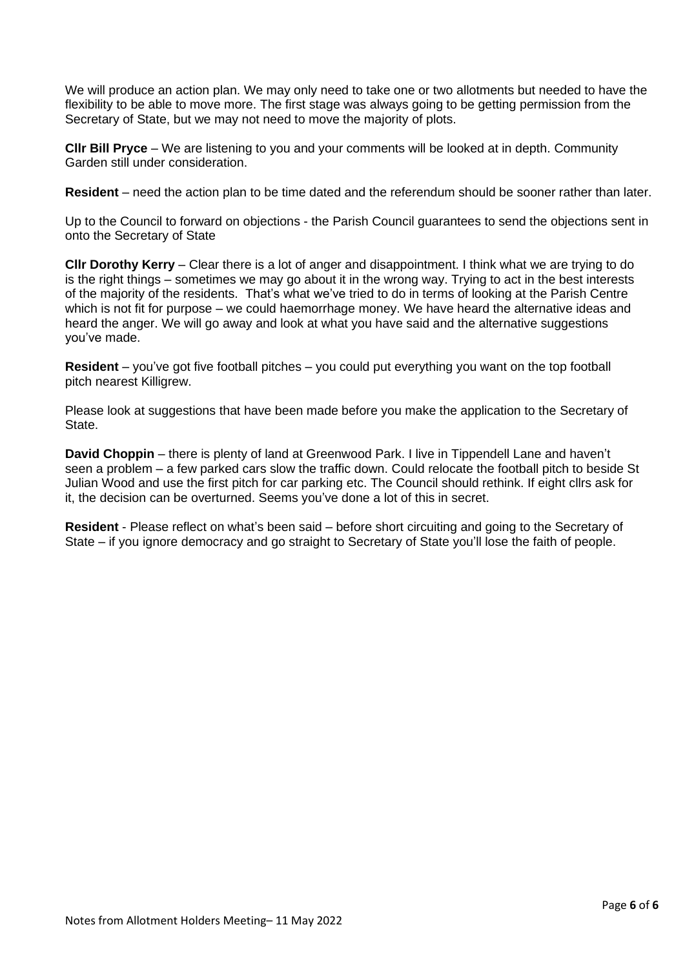We will produce an action plan. We may only need to take one or two allotments but needed to have the flexibility to be able to move more. The first stage was always going to be getting permission from the Secretary of State, but we may not need to move the majority of plots.

**Cllr Bill Pryce** – We are listening to you and your comments will be looked at in depth. Community Garden still under consideration.

**Resident** – need the action plan to be time dated and the referendum should be sooner rather than later.

Up to the Council to forward on objections - the Parish Council guarantees to send the objections sent in onto the Secretary of State

**Cllr Dorothy Kerry** – Clear there is a lot of anger and disappointment. I think what we are trying to do is the right things – sometimes we may go about it in the wrong way. Trying to act in the best interests of the majority of the residents. That's what we've tried to do in terms of looking at the Parish Centre which is not fit for purpose – we could haemorrhage money. We have heard the alternative ideas and heard the anger. We will go away and look at what you have said and the alternative suggestions you've made.

**Resident** – you've got five football pitches – you could put everything you want on the top football pitch nearest Killigrew.

Please look at suggestions that have been made before you make the application to the Secretary of State.

**David Choppin** – there is plenty of land at Greenwood Park. I live in Tippendell Lane and haven't seen a problem – a few parked cars slow the traffic down. Could relocate the football pitch to beside St Julian Wood and use the first pitch for car parking etc. The Council should rethink. If eight cllrs ask for it, the decision can be overturned. Seems you've done a lot of this in secret.

**Resident** - Please reflect on what's been said – before short circuiting and going to the Secretary of State – if you ignore democracy and go straight to Secretary of State you'll lose the faith of people.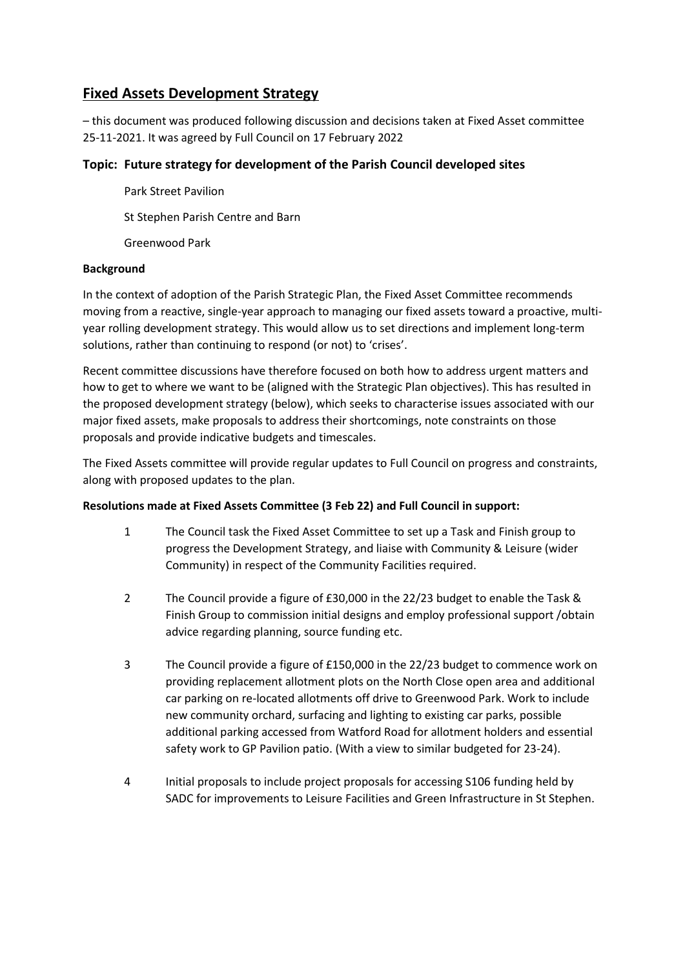# **Fixed Assets Development Strategy**

– this document was produced following discussion and decisions taken at Fixed Asset committee 25-11-2021. It was agreed by Full Council on 17 February 2022

# **Topic: Future strategy for development of the Parish Council developed sites**

Park Street Pavilion St Stephen Parish Centre and Barn

Greenwood Park

#### **Background**

In the context of adoption of the Parish Strategic Plan, the Fixed Asset Committee recommends moving from a reactive, single-year approach to managing our fixed assets toward a proactive, multiyear rolling development strategy. This would allow us to set directions and implement long-term solutions, rather than continuing to respond (or not) to 'crises'.

Recent committee discussions have therefore focused on both how to address urgent matters and how to get to where we want to be (aligned with the Strategic Plan objectives). This has resulted in the proposed development strategy (below), which seeks to characterise issues associated with our major fixed assets, make proposals to address their shortcomings, note constraints on those proposals and provide indicative budgets and timescales.

The Fixed Assets committee will provide regular updates to Full Council on progress and constraints, along with proposed updates to the plan.

# **Resolutions made at Fixed Assets Committee (3 Feb 22) and Full Council in support:**

- 1 The Council task the Fixed Asset Committee to set up a Task and Finish group to progress the Development Strategy, and liaise with Community & Leisure (wider Community) in respect of the Community Facilities required.
- 2 The Council provide a figure of £30,000 in the 22/23 budget to enable the Task & Finish Group to commission initial designs and employ professional support /obtain advice regarding planning, source funding etc.
- 3 The Council provide a figure of £150,000 in the 22/23 budget to commence work on providing replacement allotment plots on the North Close open area and additional car parking on re-located allotments off drive to Greenwood Park. Work to include new community orchard, surfacing and lighting to existing car parks, possible additional parking accessed from Watford Road for allotment holders and essential safety work to GP Pavilion patio. (With a view to similar budgeted for 23-24).
- 4 Initial proposals to include project proposals for accessing S106 funding held by SADC for improvements to Leisure Facilities and Green Infrastructure in St Stephen.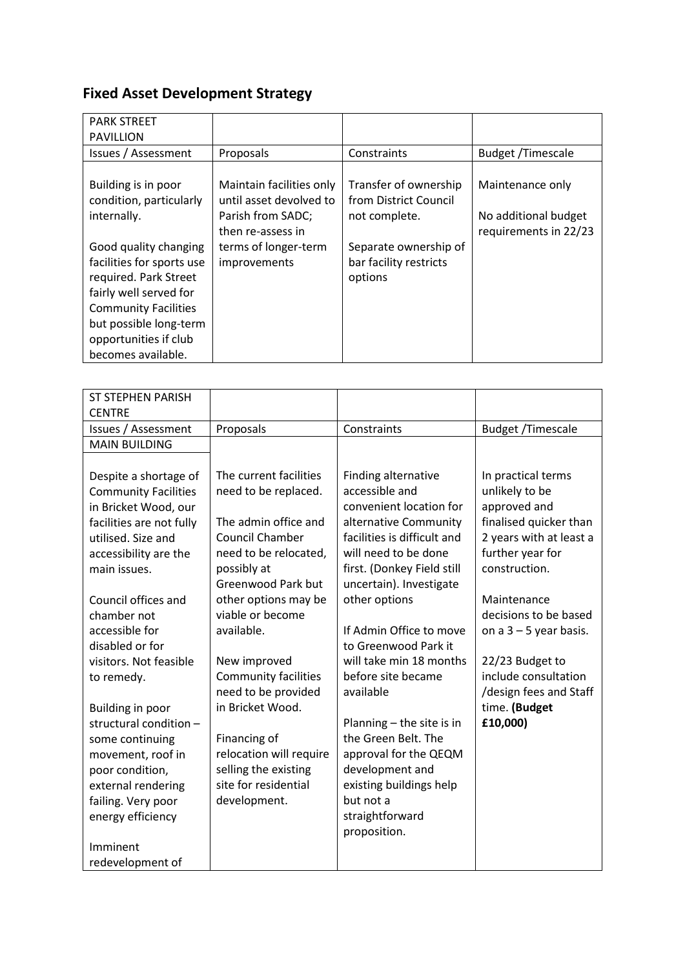# **Fixed Asset Development Strategy**

| <b>PARK STREET</b>          |                          |                        |                          |
|-----------------------------|--------------------------|------------------------|--------------------------|
| <b>PAVILLION</b>            |                          |                        |                          |
| Issues / Assessment         | Proposals                | Constraints            | <b>Budget /Timescale</b> |
|                             |                          |                        |                          |
| Building is in poor         | Maintain facilities only | Transfer of ownership  | Maintenance only         |
| condition, particularly     | until asset devolved to  | from District Council  |                          |
| internally.                 | Parish from SADC;        | not complete.          | No additional budget     |
|                             | then re-assess in        |                        | requirements in 22/23    |
| Good quality changing       | terms of longer-term     | Separate ownership of  |                          |
| facilities for sports use   | improvements             | bar facility restricts |                          |
| required. Park Street       |                          | options                |                          |
| fairly well served for      |                          |                        |                          |
| <b>Community Facilities</b> |                          |                        |                          |
| but possible long-term      |                          |                        |                          |
| opportunities if club       |                          |                        |                          |
| becomes available.          |                          |                        |                          |

| <b>ST STEPHEN PARISH</b>    |                                              |                                      |                          |
|-----------------------------|----------------------------------------------|--------------------------------------|--------------------------|
| <b>CENTRE</b>               |                                              |                                      |                          |
| Issues / Assessment         | Proposals                                    | Constraints                          | <b>Budget /Timescale</b> |
| <b>MAIN BUILDING</b>        |                                              |                                      |                          |
|                             |                                              |                                      |                          |
| Despite a shortage of       | The current facilities                       | Finding alternative                  | In practical terms       |
| <b>Community Facilities</b> | need to be replaced.                         | accessible and                       | unlikely to be           |
| in Bricket Wood, our        |                                              | convenient location for              | approved and             |
| facilities are not fully    | The admin office and                         | alternative Community                | finalised quicker than   |
| utilised. Size and          | Council Chamber                              | facilities is difficult and          | 2 years with at least a  |
| accessibility are the       | need to be relocated,                        | will need to be done                 | further year for         |
| main issues.                | possibly at                                  | first. (Donkey Field still           | construction.            |
|                             | <b>Greenwood Park but</b>                    | uncertain). Investigate              |                          |
| Council offices and         | other options may be                         | other options                        | Maintenance              |
| chamber not                 | viable or become                             |                                      | decisions to be based    |
| accessible for              | available.                                   | If Admin Office to move              | on $a$ 3 – 5 year basis. |
| disabled or for             |                                              | to Greenwood Park it                 |                          |
| visitors. Not feasible      | New improved                                 | will take min 18 months              | 22/23 Budget to          |
| to remedy.                  | Community facilities                         | before site became                   | include consultation     |
|                             | need to be provided                          | available                            | /design fees and Staff   |
| Building in poor            | in Bricket Wood.                             |                                      | time. (Budget            |
| structural condition -      |                                              | Planning - the site is in            | £10,000)                 |
| some continuing             | Financing of                                 | the Green Belt. The                  |                          |
| movement, roof in           | relocation will require                      | approval for the QEQM                |                          |
| poor condition,             | selling the existing<br>site for residential | development and                      |                          |
| external rendering          |                                              | existing buildings help<br>but not a |                          |
| failing. Very poor          | development.                                 |                                      |                          |
| energy efficiency           |                                              | straightforward<br>proposition.      |                          |
| Imminent                    |                                              |                                      |                          |
| redevelopment of            |                                              |                                      |                          |
|                             |                                              |                                      |                          |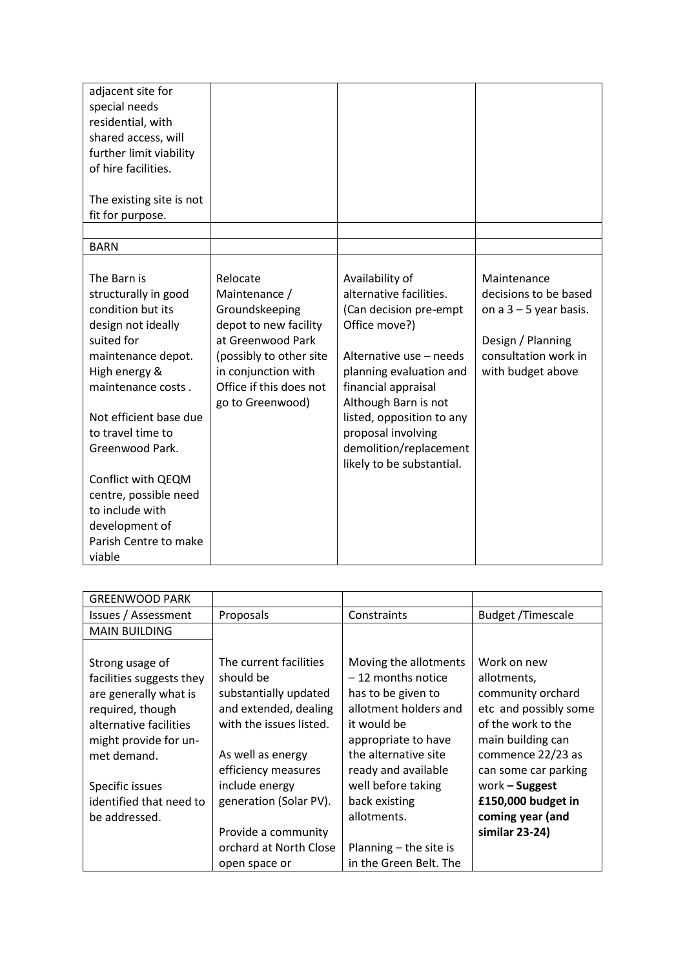| adjacent site for<br>special needs<br>residential, with<br>shared access, will<br>further limit viability                                                                                                                                                                                                       |                                                                                                                                                                                            |                                                                                                                                                                                                                                                                                                      |                                                                                                                                    |
|-----------------------------------------------------------------------------------------------------------------------------------------------------------------------------------------------------------------------------------------------------------------------------------------------------------------|--------------------------------------------------------------------------------------------------------------------------------------------------------------------------------------------|------------------------------------------------------------------------------------------------------------------------------------------------------------------------------------------------------------------------------------------------------------------------------------------------------|------------------------------------------------------------------------------------------------------------------------------------|
| of hire facilities.<br>The existing site is not<br>fit for purpose.                                                                                                                                                                                                                                             |                                                                                                                                                                                            |                                                                                                                                                                                                                                                                                                      |                                                                                                                                    |
| <b>BARN</b>                                                                                                                                                                                                                                                                                                     |                                                                                                                                                                                            |                                                                                                                                                                                                                                                                                                      |                                                                                                                                    |
| The Barn is<br>structurally in good<br>condition but its<br>design not ideally<br>suited for<br>maintenance depot.<br>High energy &<br>maintenance costs.<br>Not efficient base due<br>to travel time to<br>Greenwood Park.<br>Conflict with QEQM<br>centre, possible need<br>to include with<br>development of | Relocate<br>Maintenance /<br>Groundskeeping<br>depot to new facility<br>at Greenwood Park<br>(possibly to other site<br>in conjunction with<br>Office if this does not<br>go to Greenwood) | Availability of<br>alternative facilities.<br>(Can decision pre-empt<br>Office move?)<br>Alternative use - needs<br>planning evaluation and<br>financial appraisal<br>Although Barn is not<br>listed, opposition to any<br>proposal involving<br>demolition/replacement<br>likely to be substantial. | Maintenance<br>decisions to be based<br>on $a$ 3 – 5 year basis.<br>Design / Planning<br>consultation work in<br>with budget above |
| Parish Centre to make<br>viable                                                                                                                                                                                                                                                                                 |                                                                                                                                                                                            |                                                                                                                                                                                                                                                                                                      |                                                                                                                                    |

| <b>GREENWOOD PARK</b>    |                         |                        |                          |
|--------------------------|-------------------------|------------------------|--------------------------|
| Issues / Assessment      | Proposals               | Constraints            | <b>Budget /Timescale</b> |
| <b>MAIN BUILDING</b>     |                         |                        |                          |
|                          |                         |                        |                          |
| Strong usage of          | The current facilities  | Moving the allotments  | Work on new              |
| facilities suggests they | should be               | $-12$ months notice    | allotments,              |
| are generally what is    | substantially updated   | has to be given to     | community orchard        |
| required, though         | and extended, dealing   | allotment holders and  | etc and possibly some    |
| alternative facilities   | with the issues listed. | it would be            | of the work to the       |
| might provide for un-    |                         | appropriate to have    | main building can        |
| met demand.              | As well as energy       | the alternative site   | commence 22/23 as        |
|                          | efficiency measures     | ready and available    | can some car parking     |
| Specific issues          | include energy          | well before taking     | work - Suggest           |
| identified that need to  | generation (Solar PV).  | back existing          | £150,000 budget in       |
| be addressed.            |                         | allotments.            | coming year (and         |
|                          | Provide a community     |                        | similar 23-24)           |
|                          | orchard at North Close  | Planning - the site is |                          |
|                          | open space or           | in the Green Belt. The |                          |